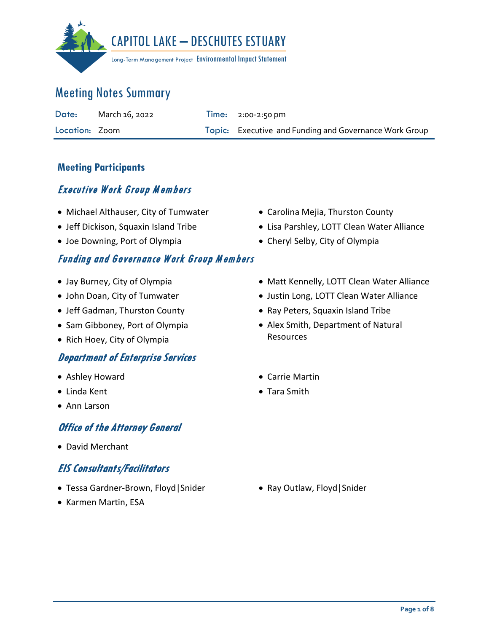

| Date:          | March 16, 2022 | $Time: 2:00-2:50 \text{ pm}$                           |
|----------------|----------------|--------------------------------------------------------|
| Location: Zoom |                | Topic: Executive and Funding and Governance Work Group |

#### **Meeting Participants**

### Executive Work Group M embers

- Michael Althauser, City of Tumwater
- Jeff Dickison, Squaxin Island Tribe
- Joe Downing, Port of Olympia

### Funding and Governance Work Group M embers

- Jay Burney, City of Olympia
- John Doan, City of Tumwater
- Jeff Gadman, Thurston County
- Sam Gibboney, Port of Olympia
- Rich Hoey, City of Olympia

### Department of Enterprise Services

- Ashley Howard
- Linda Kent
- Ann Larson

### **Office of the Attorney General**

• David Merchant

### EIS Consultants/Facilitators

- Tessa Gardner-Brown, Floyd|Snider
- Karmen Martin, ESA
- Carolina Mejia, Thurston County
- Lisa Parshley, LOTT Clean Water Alliance
- Cheryl Selby, City of Olympia
- Matt Kennelly, LOTT Clean Water Alliance
- Justin Long, LOTT Clean Water Alliance
- Ray Peters, Squaxin Island Tribe
- Alex Smith, Department of Natural Resources
- Carrie Martin
- Tara Smith

• Ray Outlaw, Floyd|Snider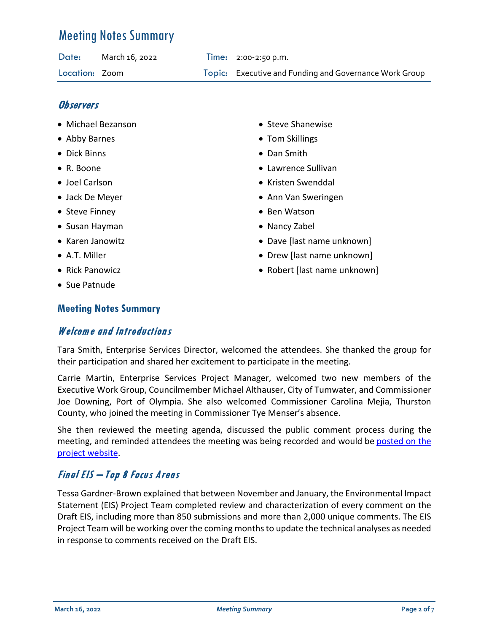| Date:          | March 16, 2022 | $Time: 2:00-2:50 p.m.$                                 |
|----------------|----------------|--------------------------------------------------------|
| Location: Zoom |                | Topic: Executive and Funding and Governance Work Group |

#### **Observers**

- Michael Bezanson
- Abby Barnes
- Dick Binns
- R. Boone
- Joel Carlson
- Jack De Meyer
- Steve Finney
- Susan Hayman
- Karen Janowitz
- A.T. Miller
- Rick Panowicz
- Sue Patnude

#### **Meeting Notes Summary**

### Welcome and Introductions

- Steve Shanewise
- Tom Skillings
- Dan Smith
- Lawrence Sullivan
- Kristen Swenddal
- Ann Van Sweringen
- Ben Watson
- Nancy Zabel
- Dave [last name unknown]
- Drew [last name unknown]
- Robert [last name unknown]

Tara Smith, Enterprise Services Director, welcomed the attendees. She thanked the group for their participation and shared her excitement to participate in the meeting.

Carrie Martin, Enterprise Services Project Manager, welcomed two new members of the Executive Work Group, Councilmember Michael Althauser, City of Tumwater, and Commissioner Joe Downing, Port of Olympia. She also welcomed Commissioner Carolina Mejia, Thurston County, who joined the meeting in Commissioner Tye Menser's absence.

She then reviewed the meeting agenda, discussed the public comment process during the meeting, and reminded attendees the meeting was being recorded and would be posted on the [project website.](https://www.youtube.com/watch?v=AEXxhtexT8k)

## Final EIS – Top 8 Focus Areas

Tessa Gardner-Brown explained that between November and January, the Environmental Impact Statement (EIS) Project Team completed review and characterization of every comment on the Draft EIS, including more than 850 submissions and more than 2,000 unique comments. The EIS Project Team will be working over the coming months to update the technical analyses as needed in response to comments received on the Draft EIS.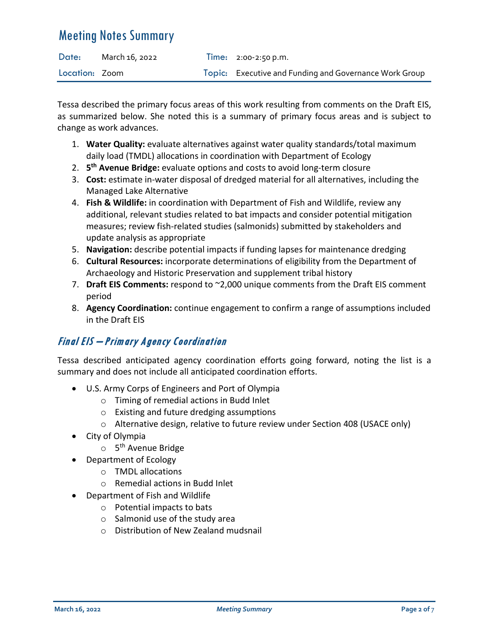| Date:          | March 16, 2022 | $Time: 2:00-2:50 p.m.$                                 |
|----------------|----------------|--------------------------------------------------------|
| Location: Zoom |                | Topic: Executive and Funding and Governance Work Group |

Tessa described the primary focus areas of this work resulting from comments on the Draft EIS, as summarized below. She noted this is a summary of primary focus areas and is subject to change as work advances.

- 1. **Water Quality:** evaluate alternatives against water quality standards/total maximum daily load (TMDL) allocations in coordination with Department of Ecology
- 2. **5th Avenue Bridge:** evaluate options and costs to avoid long-term closure
- 3. **Cost:** estimate in-water disposal of dredged material for all alternatives, including the Managed Lake Alternative
- 4. **Fish & Wildlife:** in coordination with Department of Fish and Wildlife, review any additional, relevant studies related to bat impacts and consider potential mitigation measures; review fish-related studies (salmonids) submitted by stakeholders and update analysis as appropriate
- 5. **Navigation:** describe potential impacts if funding lapses for maintenance dredging
- 6. **Cultural Resources:** incorporate determinations of eligibility from the Department of Archaeology and Historic Preservation and supplement tribal history
- 7. **Draft EIS Comments:** respond to ~2,000 unique comments from the Draft EIS comment period
- 8. **Agency Coordination:** continue engagement to confirm a range of assumptions included in the Draft EIS

## Final EIS – Primary Agency Coordination

Tessa described anticipated agency coordination efforts going forward, noting the list is a summary and does not include all anticipated coordination efforts.

- U.S. Army Corps of Engineers and Port of Olympia
	- o Timing of remedial actions in Budd Inlet
	- o Existing and future dredging assumptions
	- o Alternative design, relative to future review under Section 408 (USACE only)
- City of Olympia
	- $\circ$  5<sup>th</sup> Avenue Bridge
- Department of Ecology
	- o TMDL allocations
	- o Remedial actions in Budd Inlet
- Department of Fish and Wildlife
	- o Potential impacts to bats
	- o Salmonid use of the study area
	- o Distribution of New Zealand mudsnail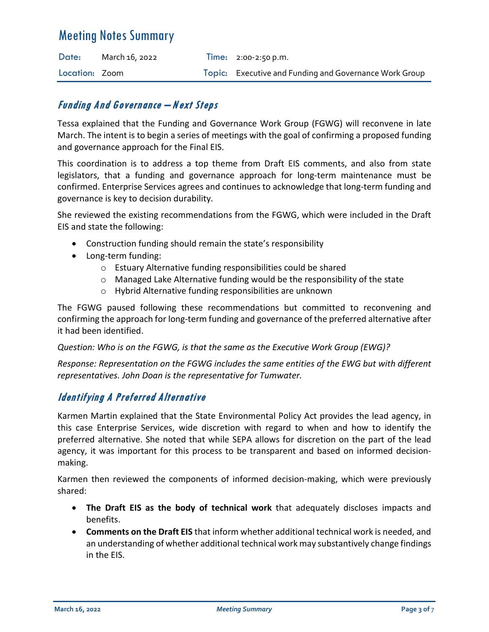| Date:          | March 16, 2022 | $Time: 2:00-2:50 p.m.$                                 |
|----------------|----------------|--------------------------------------------------------|
| Location: Zoom |                | Topic: Executive and Funding and Governance Work Group |

#### Funding And Governance – Next Steps

Tessa explained that the Funding and Governance Work Group (FGWG) will reconvene in late March. The intent is to begin a series of meetings with the goal of confirming a proposed funding and governance approach for the Final EIS.

This coordination is to address a top theme from Draft EIS comments, and also from state legislators, that a funding and governance approach for long-term maintenance must be confirmed. Enterprise Services agrees and continues to acknowledge that long-term funding and governance is key to decision durability.

She reviewed the existing recommendations from the FGWG, which were included in the Draft EIS and state the following:

- Construction funding should remain the state's responsibility
- Long-term funding:
	- o Estuary Alternative funding responsibilities could be shared
	- $\circ$  Managed Lake Alternative funding would be the responsibility of the state
	- o Hybrid Alternative funding responsibilities are unknown

The FGWG paused following these recommendations but committed to reconvening and confirming the approach for long-term funding and governance of the preferred alternative after it had been identified.

*Question: Who is on the FGWG, is that the same as the Executive Work Group (EWG)?*

*Response: Representation on the FGWG includes the same entities of the EWG but with different representatives. John Doan is the representative for Tumwater.* 

### Identifying A Preferred Alternative

Karmen Martin explained that the State Environmental Policy Act provides the lead agency, in this case Enterprise Services, wide discretion with regard to when and how to identify the preferred alternative. She noted that while SEPA allows for discretion on the part of the lead agency, it was important for this process to be transparent and based on informed decisionmaking.

Karmen then reviewed the components of informed decision-making, which were previously shared:

- **The Draft EIS as the body of technical work** that adequately discloses impacts and benefits.
- **Comments on the Draft EIS** that inform whether additional technical work is needed, and an understanding of whether additional technical work may substantively change findings in the EIS.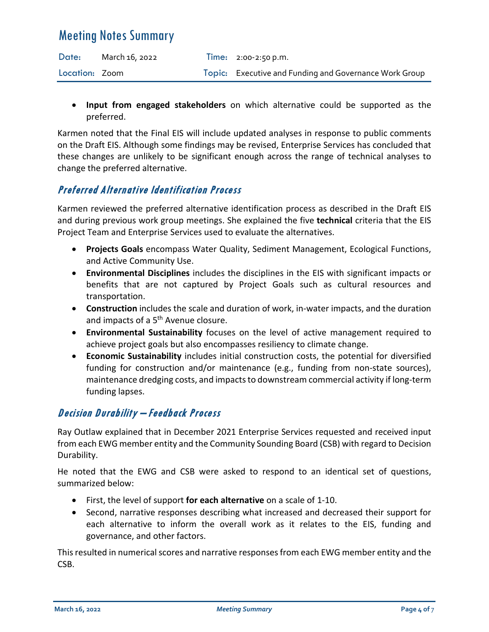| Date:          | March 16, 2022 | Time: $2:00-2:50 p.m.$                                 |
|----------------|----------------|--------------------------------------------------------|
| Location: Zoom |                | Topic: Executive and Funding and Governance Work Group |

• **Input from engaged stakeholders** on which alternative could be supported as the preferred.

Karmen noted that the Final EIS will include updated analyses in response to public comments on the Draft EIS. Although some findings may be revised, Enterprise Services has concluded that these changes are unlikely to be significant enough across the range of technical analyses to change the preferred alternative.

#### Preferred Alternative Identification Process

Karmen reviewed the preferred alternative identification process as described in the Draft EIS and during previous work group meetings. She explained the five **technical** criteria that the EIS Project Team and Enterprise Services used to evaluate the alternatives.

- **Projects Goals** encompass Water Quality, Sediment Management, Ecological Functions, and Active Community Use.
- **Environmental Disciplines** includes the disciplines in the EIS with significant impacts or benefits that are not captured by Project Goals such as cultural resources and transportation.
- **Construction** includes the scale and duration of work, in-water impacts, and the duration and impacts of a 5<sup>th</sup> Avenue closure.
- **Environmental Sustainability** focuses on the level of active management required to achieve project goals but also encompasses resiliency to climate change.
- **Economic Sustainability** includes initial construction costs, the potential for diversified funding for construction and/or maintenance (e.g., funding from non-state sources), maintenance dredging costs, and impacts to downstream commercial activity if long-term funding lapses.

### Decision Durability – Feedback Process

Ray Outlaw explained that in December 2021 Enterprise Services requested and received input from each EWG member entity and the Community Sounding Board (CSB) with regard to Decision Durability.

He noted that the EWG and CSB were asked to respond to an identical set of questions, summarized below:

- First, the level of support **for each alternative** on a scale of 1-10.
- Second, narrative responses describing what increased and decreased their support for each alternative to inform the overall work as it relates to the EIS, funding and governance, and other factors.

This resulted in numerical scores and narrative responses from each EWG member entity and the CSB.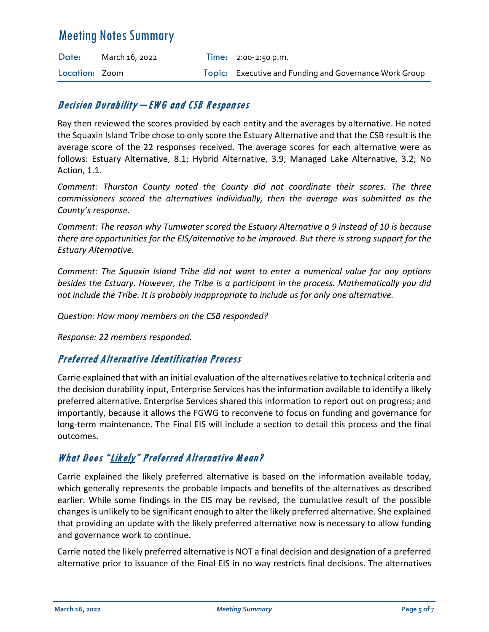| Date:          | March 16, 2022 | $Time: 2:00-2:50 p.m.$                                 |
|----------------|----------------|--------------------------------------------------------|
| Location: Zoom |                | Topic: Executive and Funding and Governance Work Group |

#### Decision Durability – EWG and CSB Responses

Ray then reviewed the scores provided by each entity and the averages by alternative. He noted the Squaxin Island Tribe chose to only score the Estuary Alternative and that the CSB result is the average score of the 22 responses received. The average scores for each alternative were as follows: Estuary Alternative, 8.1; Hybrid Alternative, 3.9; Managed Lake Alternative, 3.2; No Action, 1.1.

*Comment: Thurston County noted the County did not coordinate their scores. The three commissioners scored the alternatives individually, then the average was submitted as the County's response.* 

*Comment: The reason why Tumwater scored the Estuary Alternative a 9 instead of 10 is because there are opportunities for the EIS/alternative to be improved. But there is strong support for the Estuary Alternative.* 

*Comment: The Squaxin Island Tribe did not want to enter a numerical value for any options besides the Estuary. However, the Tribe is a participant in the process. Mathematically you did not include the Tribe. It is probably inappropriate to include us for only one alternative.* 

*Question: How many members on the CSB responded?* 

*Response: 22 members responded.* 

#### Preferred Alternative Identification Process

Carrie explained that with an initial evaluation of the alternatives relative to technical criteria and the decision durability input, Enterprise Services has the information available to identify a likely preferred alternative. Enterprise Services shared this information to report out on progress; and importantly, because it allows the FGWG to reconvene to focus on funding and governance for long-term maintenance. The Final EIS will include a section to detail this process and the final outcomes.

### What Does "Likely" Preferred Alternative M ean?

Carrie explained the likely preferred alternative is based on the information available today, which generally represents the probable impacts and benefits of the alternatives as described earlier. While some findings in the EIS may be revised, the cumulative result of the possible changes is unlikely to be significant enough to alter the likely preferred alternative. She explained that providing an update with the likely preferred alternative now is necessary to allow funding and governance work to continue.

Carrie noted the likely preferred alternative is NOT a final decision and designation of a preferred alternative prior to issuance of the Final EIS in no way restricts final decisions. The alternatives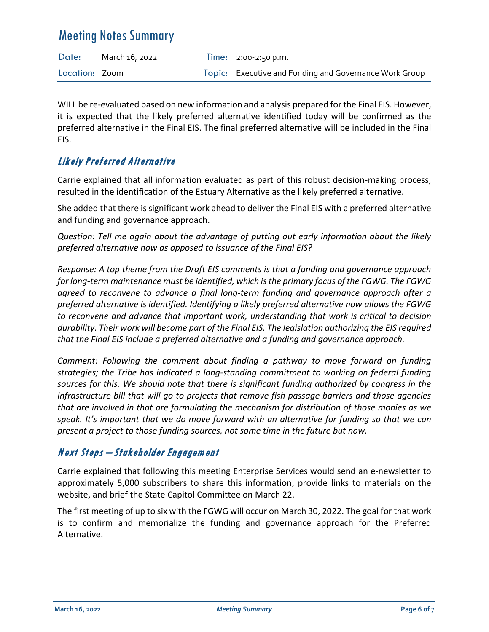| Date:          | March 16, 2022 | Time: $2:00-2:50 \text{ p.m.}$                         |
|----------------|----------------|--------------------------------------------------------|
| Location: Zoom |                | Topic: Executive and Funding and Governance Work Group |

WILL be re-evaluated based on new information and analysis prepared for the Final EIS. However, it is expected that the likely preferred alternative identified today will be confirmed as the preferred alternative in the Final EIS. The final preferred alternative will be included in the Final EIS.

## Likely Preferred Alternative

Carrie explained that all information evaluated as part of this robust decision-making process, resulted in the identification of the Estuary Alternative as the likely preferred alternative.

She added that there is significant work ahead to deliver the Final EIS with a preferred alternative and funding and governance approach.

*Question: Tell me again about the advantage of putting out early information about the likely preferred alternative now as opposed to issuance of the Final EIS?* 

*Response: A top theme from the Draft EIS comments is that a funding and governance approach for long-term maintenance must be identified, which is the primary focus of the FGWG. The FGWG agreed to reconvene to advance a final long-term funding and governance approach after a preferred alternative is identified. Identifying a likely preferred alternative now allows the FGWG to reconvene and advance that important work, understanding that work is critical to decision durability. Their work will become part of the Final EIS. The legislation authorizing the EIS required that the Final EIS include a preferred alternative and a funding and governance approach.* 

*Comment: Following the comment about finding a pathway to move forward on funding strategies; the Tribe has indicated a long-standing commitment to working on federal funding sources for this. We should note that there is significant funding authorized by congress in the infrastructure bill that will go to projects that remove fish passage barriers and those agencies that are involved in that are formulating the mechanism for distribution of those monies as we speak. It's important that we do move forward with an alternative for funding so that we can present a project to those funding sources, not some time in the future but now.* 

### N ext Steps – Stakeholder Engagement

Carrie explained that following this meeting Enterprise Services would send an e-newsletter to approximately 5,000 subscribers to share this information, provide links to materials on the website, and brief the State Capitol Committee on March 22.

The first meeting of up to six with the FGWG will occur on March 30, 2022. The goal for that work is to confirm and memorialize the funding and governance approach for the Preferred Alternative.